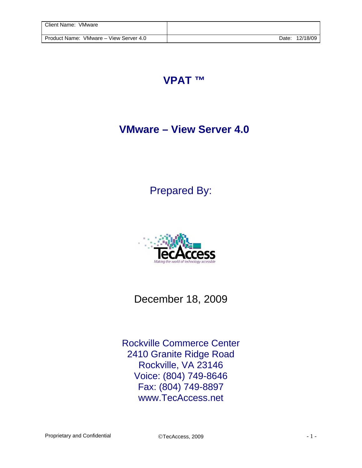## **VPAT ™**

## **VMware – View Server 4.0**

Prepared By:



December 18, 2009

Rockville Commerce Center 2410 Granite Ridge Road Rockville, VA 23146 Voice: (804) 749-8646 Fax: (804) 749-8897 www.TecAccess.net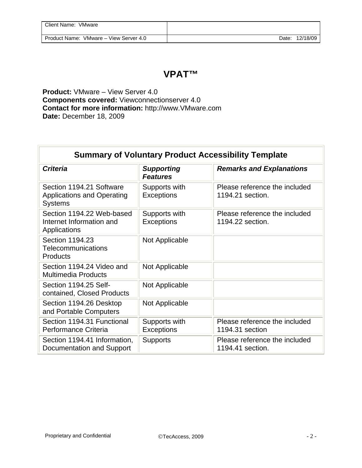| Client Name: VMware                    |       |          |
|----------------------------------------|-------|----------|
| Product Name: VMware – View Server 4.0 | Date: | 12/18/09 |

## **VPAT™**

**Product:** VMware – View Server 4.0 **Components covered:** Viewconnectionserver 4.0 **Contact for more information:** http://www.VMware.com **Date:** December 18, 2009

| <b>Summary of Voluntary Product Accessibility Template</b>                      |                                      |                                                   |  |  |
|---------------------------------------------------------------------------------|--------------------------------------|---------------------------------------------------|--|--|
| <b>Criteria</b>                                                                 | <b>Supporting</b><br><b>Features</b> | <b>Remarks and Explanations</b>                   |  |  |
| Section 1194.21 Software<br><b>Applications and Operating</b><br><b>Systems</b> | Supports with<br>Exceptions          | Please reference the included<br>1194.21 section. |  |  |
| Section 1194.22 Web-based<br>Internet Information and<br>Applications           | Supports with<br>Exceptions          | Please reference the included<br>1194.22 section. |  |  |
| Section 1194.23<br>Telecommunications<br>Products                               | Not Applicable                       |                                                   |  |  |
| Section 1194.24 Video and<br><b>Multimedia Products</b>                         | Not Applicable                       |                                                   |  |  |
| Section 1194.25 Self-<br>contained, Closed Products                             | Not Applicable                       |                                                   |  |  |
| Section 1194.26 Desktop<br>and Portable Computers                               | Not Applicable                       |                                                   |  |  |
| Section 1194.31 Functional<br>Performance Criteria                              | Supports with<br>Exceptions          | Please reference the included<br>1194.31 section  |  |  |
| Section 1194.41 Information,<br>Documentation and Support                       | <b>Supports</b>                      | Please reference the included<br>1194.41 section. |  |  |

 $\overline{\mathbb{L}}$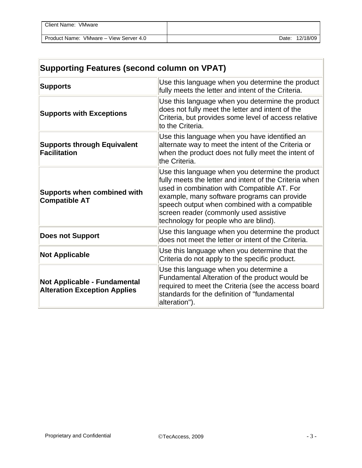| Client Name: VMware                    |       |          |
|----------------------------------------|-------|----------|
| Product Name: VMware – View Server 4.0 | Date: | 12/18/09 |

| <b>Supporting Features (second column on VPAT)</b>                  |                                                                                                                                                                                                                                                                                                                                              |  |
|---------------------------------------------------------------------|----------------------------------------------------------------------------------------------------------------------------------------------------------------------------------------------------------------------------------------------------------------------------------------------------------------------------------------------|--|
| <b>Supports</b>                                                     | Use this language when you determine the product<br>fully meets the letter and intent of the Criteria.                                                                                                                                                                                                                                       |  |
| <b>Supports with Exceptions</b>                                     | Use this language when you determine the product<br>does not fully meet the letter and intent of the<br>Criteria, but provides some level of access relative<br>to the Criteria.                                                                                                                                                             |  |
| <b>Supports through Equivalent</b><br><b>Facilitation</b>           | Use this language when you have identified an<br>alternate way to meet the intent of the Criteria or<br>when the product does not fully meet the intent of<br>the Criteria.                                                                                                                                                                  |  |
| <b>Supports when combined with</b><br><b>Compatible AT</b>          | Use this language when you determine the product<br>fully meets the letter and intent of the Criteria when<br>used in combination with Compatible AT. For<br>example, many software programs can provide<br>speech output when combined with a compatible<br>screen reader (commonly used assistive<br>technology for people who are blind). |  |
| <b>Does not Support</b>                                             | Use this language when you determine the product<br>does not meet the letter or intent of the Criteria.                                                                                                                                                                                                                                      |  |
| <b>Not Applicable</b>                                               | Use this language when you determine that the<br>Criteria do not apply to the specific product.                                                                                                                                                                                                                                              |  |
| Not Applicable - Fundamental<br><b>Alteration Exception Applies</b> | Use this language when you determine a<br>Fundamental Alteration of the product would be<br>required to meet the Criteria (see the access board<br>standards for the definition of "fundamental<br>alteration").                                                                                                                             |  |

÷.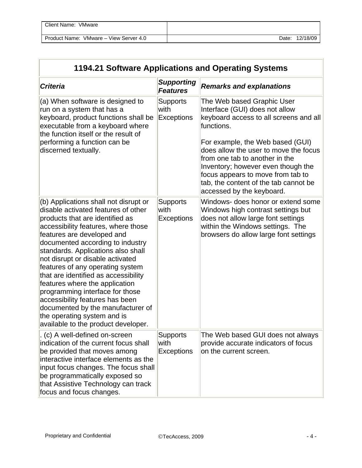| Client Name: VMware                    |       |          |
|----------------------------------------|-------|----------|
| Product Name: VMware – View Server 4.0 | Date: | 12/18/09 |

| 1194.21 Software Applications and Operating Systems                                                                                                                                                                                                                                                                                                                                                                                                                                                                                                                                               |                                              |                                                                                                                                                                                                                                                                                                                                                                                      |  |  |
|---------------------------------------------------------------------------------------------------------------------------------------------------------------------------------------------------------------------------------------------------------------------------------------------------------------------------------------------------------------------------------------------------------------------------------------------------------------------------------------------------------------------------------------------------------------------------------------------------|----------------------------------------------|--------------------------------------------------------------------------------------------------------------------------------------------------------------------------------------------------------------------------------------------------------------------------------------------------------------------------------------------------------------------------------------|--|--|
| <b>Criteria</b>                                                                                                                                                                                                                                                                                                                                                                                                                                                                                                                                                                                   | <b>Supporting</b><br><b>Features</b>         | <b>Remarks and explanations</b>                                                                                                                                                                                                                                                                                                                                                      |  |  |
| (a) When software is designed to<br>run on a system that has a<br>keyboard, product functions shall be<br>executable from a keyboard where<br>the function itself or the result of<br>performing a function can be<br>discerned textually.                                                                                                                                                                                                                                                                                                                                                        | <b>Supports</b><br>with<br><b>Exceptions</b> | The Web based Graphic User<br>Interface (GUI) does not allow<br>keyboard access to all screens and all<br>functions.<br>For example, the Web based (GUI)<br>does allow the user to move the focus<br>from one tab to another in the<br>Inventory; however even though the<br>focus appears to move from tab to<br>tab, the content of the tab cannot be<br>accessed by the keyboard. |  |  |
| (b) Applications shall not disrupt or<br>disable activated features of other<br>products that are identified as<br>accessibility features, where those<br>features are developed and<br>documented according to industry<br>standards. Applications also shall<br>not disrupt or disable activated<br>features of any operating system<br>that are identified as accessibility<br>features where the application<br>programming interface for those<br>accessibility features has been<br>documented by the manufacturer of<br>the operating system and is<br>available to the product developer. | <b>Supports</b><br>with<br><b>Exceptions</b> | Windows- does honor or extend some<br>Windows high contrast settings but<br>does not allow large font settings<br>within the Windows settings. The<br>browsers do allow large font settings                                                                                                                                                                                          |  |  |
| . (c) A well-defined on-screen<br>indication of the current focus shall<br>be provided that moves among<br>interactive interface elements as the<br>input focus changes. The focus shall<br>be programmatically exposed so<br>that Assistive Technology can track<br>focus and focus changes.                                                                                                                                                                                                                                                                                                     | <b>Supports</b><br>with<br><b>Exceptions</b> | The Web based GUI does not always<br>provide accurate indicators of focus<br>on the current screen.                                                                                                                                                                                                                                                                                  |  |  |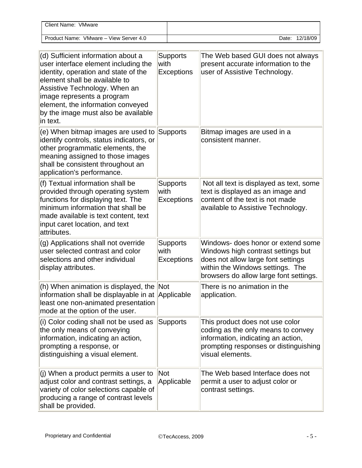| <b>Client Name:</b><br>VMware          |       |          |
|----------------------------------------|-------|----------|
| Product Name: VMware – View Server 4.0 | Date: | 12/18/09 |

| (d) Sufficient information about a<br>user interface element including the<br>identity, operation and state of the<br>element shall be available to<br>Assistive Technology. When an<br>image represents a program<br>element, the information conveyed<br>by the image must also be available<br>in text. | <b>Supports</b><br>with<br><b>Exceptions</b> | The Web based GUI does not always<br>present accurate information to the<br>user of Assistive Technology.                                                                                    |
|------------------------------------------------------------------------------------------------------------------------------------------------------------------------------------------------------------------------------------------------------------------------------------------------------------|----------------------------------------------|----------------------------------------------------------------------------------------------------------------------------------------------------------------------------------------------|
| (e) When bitmap images are used to<br>identify controls, status indicators, or<br>other programmatic elements, the<br>meaning assigned to those images<br>shall be consistent throughout an<br>application's performance.                                                                                  | Supports                                     | Bitmap images are used in a<br>consistent manner.                                                                                                                                            |
| (f) Textual information shall be<br>provided through operating system<br>functions for displaying text. The<br>minimum information that shall be<br>made available is text content, text<br>input caret location, and text<br>attributes.                                                                  | <b>Supports</b><br>with<br><b>Exceptions</b> | Not all text is displayed as text, some<br>text is displayed as an image and<br>content of the text is not made<br>available to Assistive Technology.                                        |
| (g) Applications shall not override<br>user selected contrast and color<br>selections and other individual<br>display attributes.                                                                                                                                                                          | <b>Supports</b><br>with<br><b>Exceptions</b> | Windows- does honor or extend some<br>Windows high contrast settings but<br>does not allow large font settings<br>within the Windows settings. The<br>browsers do allow large font settings. |
| (h) When animation is displayed, the Not<br>information shall be displayable in at Applicable<br>least one non-animated presentation<br>mode at the option of the user.                                                                                                                                    |                                              | There is no animation in the<br>application.                                                                                                                                                 |
| (i) Color coding shall not be used as<br>the only means of conveying<br>information, indicating an action,<br>prompting a response, or<br>distinguishing a visual element.                                                                                                                                 | <b>Supports</b>                              | This product does not use color<br>coding as the only means to convey<br>information, indicating an action,<br>prompting responses or distinguishing<br>visual elements.                     |
| $(i)$ When a product permits a user to<br>adjust color and contrast settings, a<br>variety of color selections capable of<br>producing a range of contrast levels<br>shall be provided.                                                                                                                    | Not<br>Applicable                            | The Web based Interface does not<br>permit a user to adjust color or<br>contrast settings.                                                                                                   |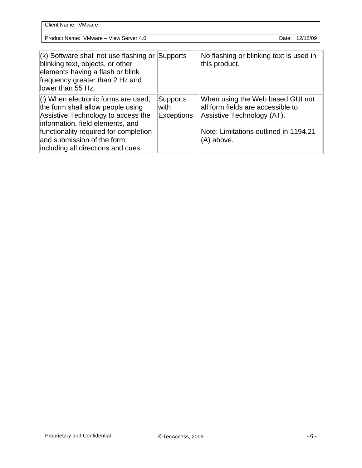| Client Name: VMware                                                                                                                                                                                                                                              |      |                        |                                                                                                                                                            |
|------------------------------------------------------------------------------------------------------------------------------------------------------------------------------------------------------------------------------------------------------------------|------|------------------------|------------------------------------------------------------------------------------------------------------------------------------------------------------|
| Product Name: VMware - View Server 4.0                                                                                                                                                                                                                           |      |                        | 12/18/09<br>Date:                                                                                                                                          |
|                                                                                                                                                                                                                                                                  |      |                        |                                                                                                                                                            |
| $(k)$ Software shall not use flashing or<br>blinking text, objects, or other<br>elements having a flash or blink<br>frequency greater than 2 Hz and<br>llower than 55 Hz.                                                                                        |      | Supports               | No flashing or blinking text is used in<br>this product.                                                                                                   |
| (I) When electronic forms are used,<br>the form shall allow people using<br>Assistive Technology to access the<br>information, field elements, and<br>functionality required for completion<br>and submission of the form,<br>including all directions and cues. | with | Supports<br>Exceptions | When using the Web based GUI not<br>all form fields are accessible to<br>Assistive Technology (AT).<br>Note: Limitations outlined in 1194.21<br>(A) above. |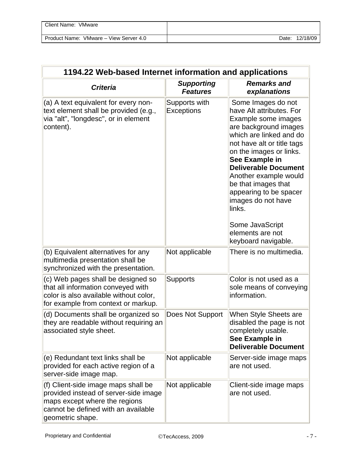| Client Name:<br>VMware                 |       |          |
|----------------------------------------|-------|----------|
| Product Name: VMware – View Server 4.0 | Date: | 12/18/09 |

| 1194.22 Web-based Internet information and applications                                                                                                                  |                                      |                                                                                                                                                                                                                                                                                                                                                                                                             |  |
|--------------------------------------------------------------------------------------------------------------------------------------------------------------------------|--------------------------------------|-------------------------------------------------------------------------------------------------------------------------------------------------------------------------------------------------------------------------------------------------------------------------------------------------------------------------------------------------------------------------------------------------------------|--|
| <b>Criteria</b>                                                                                                                                                          | <b>Supporting</b><br><b>Features</b> | <b>Remarks and</b><br>explanations                                                                                                                                                                                                                                                                                                                                                                          |  |
| (a) A text equivalent for every non-<br>text element shall be provided (e.g.,<br>via "alt", "longdesc", or in element<br>content).                                       | Supports with<br>Exceptions          | Some Images do not<br>have Alt attributes. For<br>Example some images<br>are background images<br>which are linked and do<br>not have alt or title tags<br>on the images or links.<br>See Example in<br><b>Deliverable Document</b><br>Another example would<br>be that images that<br>appearing to be spacer<br>images do not have<br>links.<br>Some JavaScript<br>elements are not<br>keyboard navigable. |  |
| (b) Equivalent alternatives for any<br>multimedia presentation shall be<br>synchronized with the presentation.                                                           | Not applicable                       | There is no multimedia.                                                                                                                                                                                                                                                                                                                                                                                     |  |
| (c) Web pages shall be designed so<br>that all information conveyed with<br>color is also available without color,<br>for example from context or markup.                | <b>Supports</b>                      | Color is not used as a<br>sole means of conveying<br>information.                                                                                                                                                                                                                                                                                                                                           |  |
| (d) Documents shall be organized so<br>they are readable without requiring an<br>associated style sheet.                                                                 | Does Not Support                     | When Style Sheets are<br>disabled the page is not<br>completely usable.<br>See Example in<br><b>Deliverable Document</b>                                                                                                                                                                                                                                                                                    |  |
| (e) Redundant text links shall be<br>provided for each active region of a<br>server-side image map.                                                                      | Not applicable                       | Server-side image maps<br>are not used.                                                                                                                                                                                                                                                                                                                                                                     |  |
| (f) Client-side image maps shall be<br>provided instead of server-side image<br>maps except where the regions<br>cannot be defined with an available<br>geometric shape. | Not applicable                       | Client-side image maps<br>are not used.                                                                                                                                                                                                                                                                                                                                                                     |  |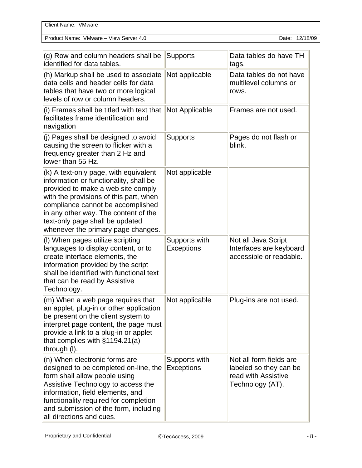| Client Name: VMware                    |       |          |
|----------------------------------------|-------|----------|
| Product Name: VMware – View Server 4.0 | Date: | 12/18/09 |

| (g) Row and column headers shall be<br>identified for data tables.                                                                                                                                                                                                                                                    | <b>Supports</b>             | Data tables do have TH<br>tags.                                                              |
|-----------------------------------------------------------------------------------------------------------------------------------------------------------------------------------------------------------------------------------------------------------------------------------------------------------------------|-----------------------------|----------------------------------------------------------------------------------------------|
| (h) Markup shall be used to associate<br>data cells and header cells for data<br>tables that have two or more logical<br>levels of row or column headers.                                                                                                                                                             | Not applicable              | Data tables do not have<br>multilevel columns or<br>rows.                                    |
| (i) Frames shall be titled with text that<br>facilitates frame identification and<br>navigation                                                                                                                                                                                                                       | Not Applicable              | Frames are not used.                                                                         |
| (j) Pages shall be designed to avoid<br>causing the screen to flicker with a<br>frequency greater than 2 Hz and<br>lower than 55 Hz.                                                                                                                                                                                  | <b>Supports</b>             | Pages do not flash or<br>blink.                                                              |
| (k) A text-only page, with equivalent<br>information or functionality, shall be<br>provided to make a web site comply<br>with the provisions of this part, when<br>compliance cannot be accomplished<br>in any other way. The content of the<br>text-only page shall be updated<br>whenever the primary page changes. | Not applicable              |                                                                                              |
| (I) When pages utilize scripting<br>languages to display content, or to<br>create interface elements, the<br>information provided by the script<br>shall be identified with functional text<br>that can be read by Assistive<br>Technology.                                                                           | Supports with<br>Exceptions | Not all Java Script<br>Interfaces are keyboard<br>accessible or readable.                    |
| (m) When a web page requires that<br>an applet, plug-in or other application<br>be present on the client system to<br>interpret page content, the page must<br>provide a link to a plug-in or applet<br>that complies with $§1194.21(a)$<br>through (I).                                                              | Not applicable              | Plug-ins are not used.                                                                       |
| (n) When electronic forms are<br>designed to be completed on-line, the<br>form shall allow people using<br>Assistive Technology to access the<br>information, field elements, and<br>functionality required for completion<br>and submission of the form, including<br>all directions and cues.                       | Supports with<br>Exceptions | Not all form fields are<br>labeled so they can be<br>read with Assistive<br>Technology (AT). |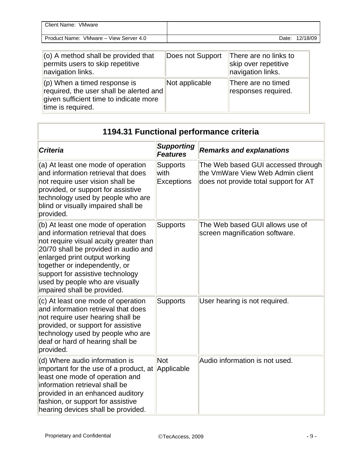| Client Name: VMware                    |                |
|----------------------------------------|----------------|
| Product Name: VMware – View Server 4.0 | Date: 12/18/09 |
|                                        |                |

| $\vert$ (o) A method shall be provided that<br>permits users to skip repetitive<br>navigation links.                                               | Does not Support | There are no links to<br>skip over repetitive<br>navigation links. |
|----------------------------------------------------------------------------------------------------------------------------------------------------|------------------|--------------------------------------------------------------------|
| $\parallel$ (p) When a timed response is<br>required, the user shall be alerted and<br>given sufficient time to indicate more<br>time is required. | Not applicable   | There are no timed<br>responses required.                          |

| 1194.31 Functional performance criteria                                                                                                                                                                                                                                                                                             |                                              |                                                                                                                 |
|-------------------------------------------------------------------------------------------------------------------------------------------------------------------------------------------------------------------------------------------------------------------------------------------------------------------------------------|----------------------------------------------|-----------------------------------------------------------------------------------------------------------------|
| <b>Criteria</b>                                                                                                                                                                                                                                                                                                                     | <b>Supporting</b><br><b>Features</b>         | <b>Remarks and explanations</b>                                                                                 |
| (a) At least one mode of operation<br>and information retrieval that does<br>not require user vision shall be<br>provided, or support for assistive<br>technology used by people who are<br>blind or visually impaired shall be<br>provided.                                                                                        | <b>Supports</b><br>with<br><b>Exceptions</b> | The Web based GUI accessed through<br>the VmWare View Web Admin client<br>does not provide total support for AT |
| (b) At least one mode of operation<br>and information retrieval that does<br>not require visual acuity greater than<br>20/70 shall be provided in audio and<br>enlarged print output working<br>together or independently, or<br>support for assistive technology<br>used by people who are visually<br>impaired shall be provided. | <b>Supports</b>                              | The Web based GUI allows use of<br>screen magnification software.                                               |
| (c) At least one mode of operation<br>and information retrieval that does<br>not require user hearing shall be<br>provided, or support for assistive<br>technology used by people who are<br>deaf or hard of hearing shall be<br>provided.                                                                                          | <b>Supports</b>                              | User hearing is not required.                                                                                   |
| (d) Where audio information is<br>important for the use of a product, at Applicable<br>least one mode of operation and<br>information retrieval shall be<br>provided in an enhanced auditory<br>fashion, or support for assistive<br>hearing devices shall be provided.                                                             | Not                                          | Audio information is not used.                                                                                  |

πi